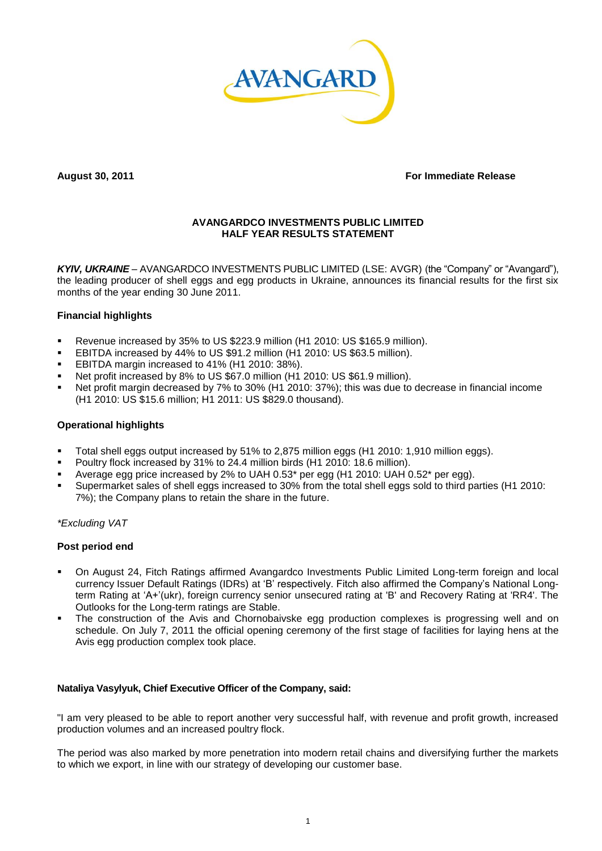

**August 30, 2011 For Immediate Release**

# **AVANGARDCO INVESTMENTS PUBLIC LIMITED HALF YEAR RESULTS STATEMENT**

*KYIV, UKRAINE* – AVANGARDCO INVESTMENTS PUBLIC LIMITED (LSE: AVGR) (the "Company" or "Avangard"), the leading producer of shell eggs and egg products in Ukraine, announces its financial results for the first six months of the year ending 30 June 2011.

# **Financial highlights**

- Revenue increased by 35% to US \$223.9 million (H1 2010: US \$165.9 million).
- EBITDA increased by 44% to US \$91.2 million (H1 2010: US \$63.5 million).
- **EBITDA margin increased to 41% (H1 2010: 38%).**
- Net profit increased by 8% to US \$67.0 million (H1 2010: US \$61.9 million).
- Net profit margin decreased by 7% to 30% (H1 2010: 37%); this was due to decrease in financial income (H1 2010: US \$15.6 million; H1 2011: US \$829.0 thousand).

### **Operational highlights**

- Total shell eggs output increased by 51% to 2,875 million eggs (H1 2010: 1,910 million eggs).
- Poultry flock increased by 31% to 24.4 million birds (H1 2010: 18.6 million).
- Average egg price increased by 2% to UAH 0.53\* per egg (H1 2010: UAH 0.52\* per egg).
- Supermarket sales of shell eggs increased to 30% from the total shell eggs sold to third parties (H1 2010: 7%); the Company plans to retain the share in the future.

*\*Excluding VAT*

# **Post period end**

- On August 24, Fitch Ratings affirmed Avangardco Investments Public Limited Long-term foreign and local currency Issuer Default Ratings (IDRs) at "B" respectively. Fitch also affirmed the Company"s National Longterm Rating at "A+"(ukr), foreign currency senior unsecured rating at 'B' and Recovery Rating at 'RR4'. The Outlooks for the Long-term ratings are Stable.
- The construction of the Avis and Chornobaivske egg production complexes is progressing well and on schedule. On July 7, 2011 the official opening ceremony of the first stage of facilities for laying hens at the Avis egg production complex took place.

# **Nataliya Vasylyuk, Chief Executive Officer of the Company, said:**

"I am very pleased to be able to report another very successful half, with revenue and profit growth, increased production volumes and an increased poultry flock.

The period was also marked by more penetration into modern retail chains and diversifying further the markets to which we export, in line with our strategy of developing our customer base.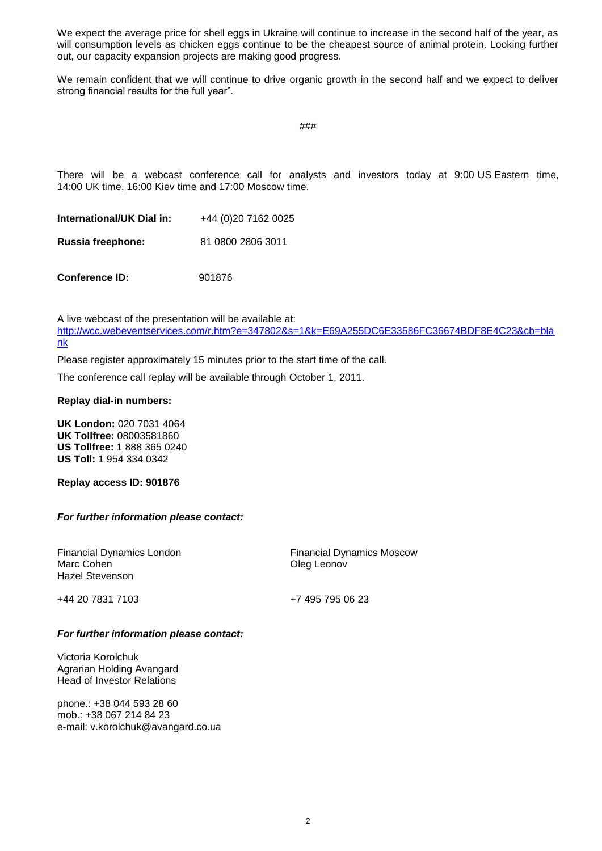We expect the average price for shell eggs in Ukraine will continue to increase in the second half of the year, as will consumption levels as chicken eggs continue to be the cheapest source of animal protein. Looking further out, our capacity expansion projects are making good progress.

We remain confident that we will continue to drive organic growth in the second half and we expect to deliver strong financial results for the full year".

###

There will be a webcast conference call for analysts and investors today at 9:00 US Eastern time, 14:00 UK time, 16:00 Kiev time and 17:00 Moscow time.

| International/UK Dial in: | +44 (0)20 7162 0025 |  |  |
|---------------------------|---------------------|--|--|
| Russia freephone:         | 81 0800 2806 3011   |  |  |
|                           |                     |  |  |

**Conference ID:** 901876

A live webcast of the presentation will be available at: [http://wcc.webeventservices.com/r.htm?e=347802&s=1&k=E69A255DC6E33586FC36674BDF8E4C23&cb=bla](http://wcc.webeventservices.com/r.htm?e=347802&s=1&k=E69A255DC6E33586FC36674BDF8E4C23&cb=blank) [nk](http://wcc.webeventservices.com/r.htm?e=347802&s=1&k=E69A255DC6E33586FC36674BDF8E4C23&cb=blank)

Please register approximately 15 minutes prior to the start time of the call.

The conference call replay will be available through October 1, 2011.

### **Replay dial-in numbers:**

**UK London:** 020 7031 4064 **UK Tollfree:** 08003581860 **US Tollfree:** 1 888 365 0240 **US Toll:** 1 954 334 0342

**Replay access ID: 901876**

# *For further information please contact:*

Financial Dynamics London Marc Cohen Hazel Stevenson

Financial Dynamics Moscow Oleg Leonov

+44 20 7831 7103

+7 495 795 06 23

### *For further information please contact:*

Victoria Korolchuk Agrarian Holding Avangard Head of Investor Relations

phone.: +38 044 593 28 60 mob.: +38 067 214 84 23 e-mail: v.korolchuk@avangard.co.ua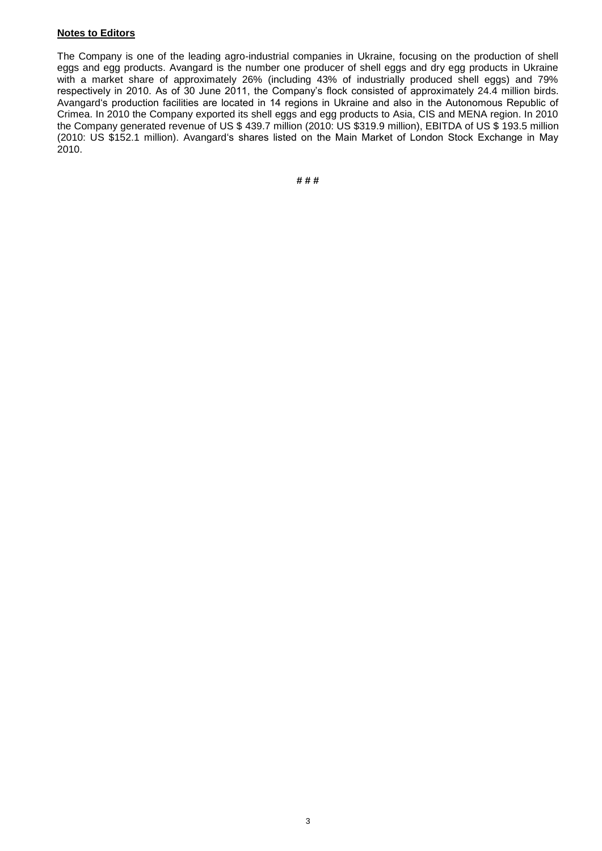## **Notes to Editors**

The Company is one of the leading agro-industrial companies in Ukraine, focusing on the production of shell eggs and egg products. Avangard is the number one producer of shell eggs and dry egg products in Ukraine with a market share of approximately 26% (including 43% of industrially produced shell eggs) and 79% respectively in 2010. As of 30 June 2011, the Company's flock consisted of approximately 24.4 million birds. Avangard"s production facilities are located in 14 regions in Ukraine and also in the Autonomous Republic of Crimea. In 2010 the Company exported its shell eggs and egg products to Asia, CIS and MENA region. In 2010 the Company generated revenue of US \$ 439.7 million (2010: US \$319.9 million), EBITDA of US \$ 193.5 million (2010: US \$152.1 million). Avangard"s shares listed on the Main Market of London Stock Exchange in May 2010.

**# # #**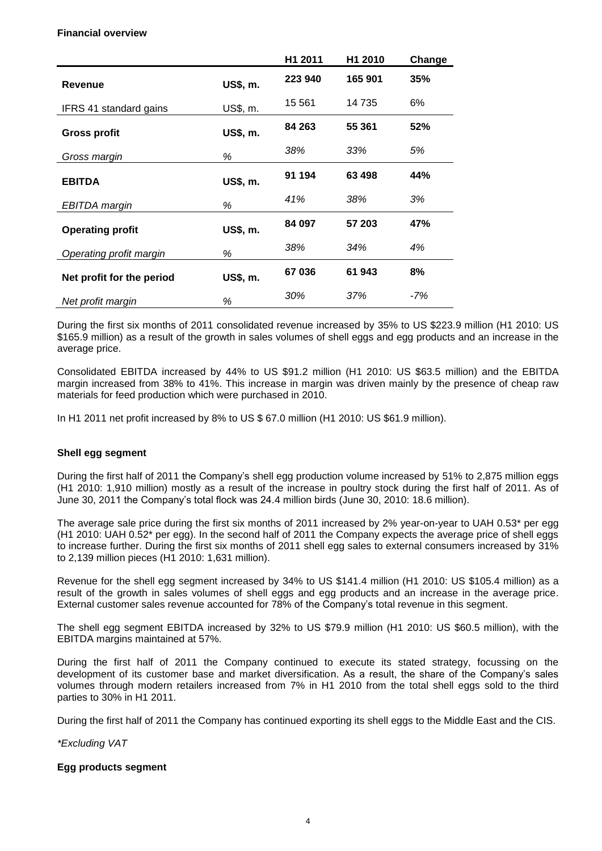### **Financial overview**

|                               |          | H1 2011 | H1 2010 | Change |
|-------------------------------|----------|---------|---------|--------|
| <b>Revenue</b>                | US\$, m. | 223 940 | 165 901 | 35%    |
| <b>IFRS 41 standard gains</b> | US\$, m. | 15 5 61 | 14 735  | 6%     |
| <b>Gross profit</b>           | US\$, m. | 84 263  | 55 361  | 52%    |
| Gross margin                  | %        | 38%     | 33%     | 5%     |
| <b>EBITDA</b>                 | US\$, m. | 91 194  | 63 498  | 44%    |
| EBITDA margin                 | %        | 41%     | 38%     | 3%     |
| <b>Operating profit</b>       | US\$, m. | 84 097  | 57 203  | 47%    |
| Operating profit margin       | %        | 38%     | 34%     | 4%     |
| Net profit for the period     | US\$, m. | 67 036  | 61 943  | 8%     |
| Net profit margin             | %        | 30%     | 37%     | -7%    |

During the first six months of 2011 consolidated revenue increased by 35% to US \$223.9 million (H1 2010: US \$165.9 million) as a result of the growth in sales volumes of shell eggs and egg products and an increase in the average price.

Consolidated EBITDA increased by 44% to US \$91.2 million (H1 2010: US \$63.5 million) and the EBITDA margin increased from 38% to 41%. This increase in margin was driven mainly by the presence of cheap raw materials for feed production which were purchased in 2010.

In H1 2011 net profit increased by 8% to US \$ 67.0 million (H1 2010: US \$61.9 million).

# **Shell egg segment**

During the first half of 2011 the Company"s shell egg production volume increased by 51% to 2,875 million eggs (H1 2010: 1,910 million) mostly as a result of the increase in poultry stock during the first half of 2011. As of June 30, 2011 the Company"s total flock was 24.4 million birds (June 30, 2010: 18.6 million).

The average sale price during the first six months of 2011 increased by 2% year-on-year to UAH 0.53\* per egg (H1 2010: UAH 0.52\* per egg). In the second half of 2011 the Company expects the average price of shell eggs to increase further. During the first six months of 2011 shell egg sales to external consumers increased by 31% to 2,139 million pieces (H1 2010: 1,631 million).

Revenue for the shell egg segment increased by 34% to US \$141.4 million (H1 2010: US \$105.4 million) as a result of the growth in sales volumes of shell eggs and egg products and an increase in the average price. External customer sales revenue accounted for 78% of the Company"s total revenue in this segment.

The shell egg segment EBITDA increased by 32% to US \$79.9 million (H1 2010: US \$60.5 million), with the EBITDA margins maintained at 57%.

During the first half of 2011 the Company continued to execute its stated strategy, focussing on the development of its customer base and market diversification. As a result, the share of the Company"s sales volumes through modern retailers increased from 7% in H1 2010 from the total shell eggs sold to the third parties to 30% in H1 2011.

During the first half of 2011 the Company has continued exporting its shell eggs to the Middle East and the CIS.

*\*Excluding VAT*

# **Egg products segment**